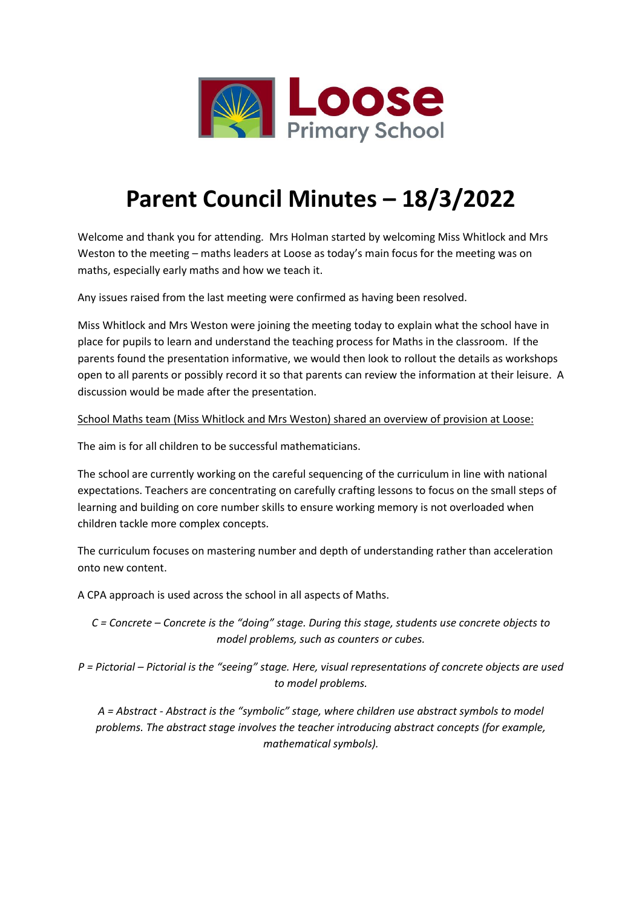

## **Parent Council Minutes – 18/3/2022**

Welcome and thank you for attending. Mrs Holman started by welcoming Miss Whitlock and Mrs Weston to the meeting – maths leaders at Loose as today's main focus for the meeting was on maths, especially early maths and how we teach it.

Any issues raised from the last meeting were confirmed as having been resolved.

Miss Whitlock and Mrs Weston were joining the meeting today to explain what the school have in place for pupils to learn and understand the teaching process for Maths in the classroom. If the parents found the presentation informative, we would then look to rollout the details as workshops open to all parents or possibly record it so that parents can review the information at their leisure. A discussion would be made after the presentation.

School Maths team (Miss Whitlock and Mrs Weston) shared an overview of provision at Loose:

The aim is for all children to be successful mathematicians.

The school are currently working on the careful sequencing of the curriculum in line with national expectations. Teachers are concentrating on carefully crafting lessons to focus on the small steps of learning and building on core number skills to ensure working memory is not overloaded when children tackle more complex concepts.

The curriculum focuses on mastering number and depth of understanding rather than acceleration onto new content.

A CPA approach is used across the school in all aspects of Maths.

*C = Concrete – Concrete is the "doing" stage. During this stage, students use concrete objects to model problems, such as counters or cubes.*

*P = Pictorial – Pictorial is the "seeing" stage. Here, visual representations of concrete objects are used to model problems.*

*A = Abstract - Abstract is the "symbolic" stage, where children use abstract symbols to model problems. The abstract stage involves the teacher introducing abstract concepts (for example, mathematical symbols).*